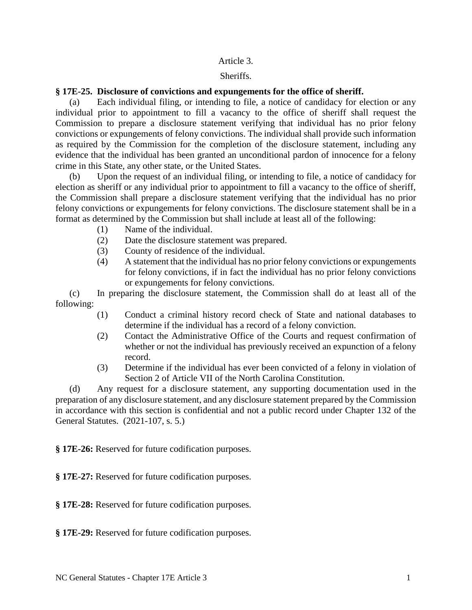## Article 3.

## Sheriffs.

## **§ 17E-25. Disclosure of convictions and expungements for the office of sheriff.**

(a) Each individual filing, or intending to file, a notice of candidacy for election or any individual prior to appointment to fill a vacancy to the office of sheriff shall request the Commission to prepare a disclosure statement verifying that individual has no prior felony convictions or expungements of felony convictions. The individual shall provide such information as required by the Commission for the completion of the disclosure statement, including any evidence that the individual has been granted an unconditional pardon of innocence for a felony crime in this State, any other state, or the United States.

Upon the request of an individual filing, or intending to file, a notice of candidacy for election as sheriff or any individual prior to appointment to fill a vacancy to the office of sheriff, the Commission shall prepare a disclosure statement verifying that the individual has no prior felony convictions or expungements for felony convictions. The disclosure statement shall be in a format as determined by the Commission but shall include at least all of the following:

- (1) Name of the individual.
- (2) Date the disclosure statement was prepared.
- (3) County of residence of the individual.
- (4) A statement that the individual has no prior felony convictions or expungements for felony convictions, if in fact the individual has no prior felony convictions or expungements for felony convictions.

(c) In preparing the disclosure statement, the Commission shall do at least all of the following:

- (1) Conduct a criminal history record check of State and national databases to determine if the individual has a record of a felony conviction.
- (2) Contact the Administrative Office of the Courts and request confirmation of whether or not the individual has previously received an expunction of a felony record.
- (3) Determine if the individual has ever been convicted of a felony in violation of Section 2 of Article VII of the North Carolina Constitution.

(d) Any request for a disclosure statement, any supporting documentation used in the preparation of any disclosure statement, and any disclosure statement prepared by the Commission in accordance with this section is confidential and not a public record under Chapter 132 of the General Statutes. (2021-107, s. 5.)

**§ 17E-26:** Reserved for future codification purposes.

**§ 17E-27:** Reserved for future codification purposes.

**§ 17E-28:** Reserved for future codification purposes.

**§ 17E-29:** Reserved for future codification purposes.